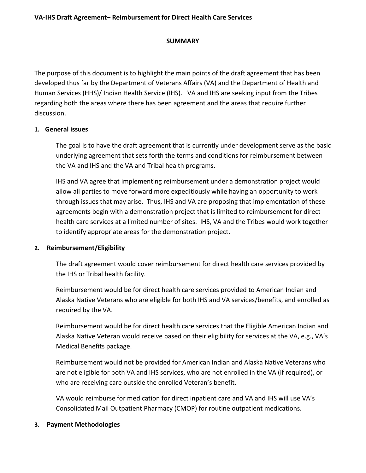### **SUMMARY**

 The purpose of this document is to highlight the main points of the draft agreement that has been developed thus far by the Department of Veterans Affairs (VA) and the Department of Health and regarding both the areas where there has been agreement and the areas that require further Human Services (HHS)/ Indian Health Service (IHS). VA and IHS are seeking input from the Tribes discussion.

### **1. General issues**

 The goal is to have the draft agreement that is currently under development serve as the basic underlying agreement that sets forth the terms and conditions for reimbursement between the VA and IHS and the VA and Tribal health programs.

 allow all parties to move forward more expeditiously while having an opportunity to work through issues that may arise. Thus, IHS and VA are proposing that implementation of these health care services at a limited number of sites. IHS, VA and the Tribes would work together IHS and VA agree that implementing reimbursement under a demonstration project would agreements begin with a demonstration project that is limited to reimbursement for direct to identify appropriate areas for the demonstration project.

### **2. Reimbursement/Eligibility**

 The draft agreement would cover reimbursement for direct health care services provided by the IHS or Tribal health facility.

the IHS or Tribal health facility.<br>Reimbursement would be for direct health care services provided to American Indian and Alaska Native Veterans who are eligible for both IHS and VA services/benefits, and enrolled as required by the VA.

 Reimbursement would be for direct health care services that the Eligible American Indian and Alaska Native Veteran would receive based on their eligibility for services at the VA, e.g., VA's Medical Benefits package.

 Reimbursement would not be provided for American Indian and Alaska Native Veterans who are not eligible for both VA and IHS services, who are not enrolled in the VA (if required), or who are receiving care outside the enrolled Veteran's benefit.

 Consolidated Mail Outpatient Pharmacy (CMOP) for routine outpatient medications. VA would reimburse for medication for direct inpatient care and VA and IHS will use VA's

### **3. Payment Methodologies**